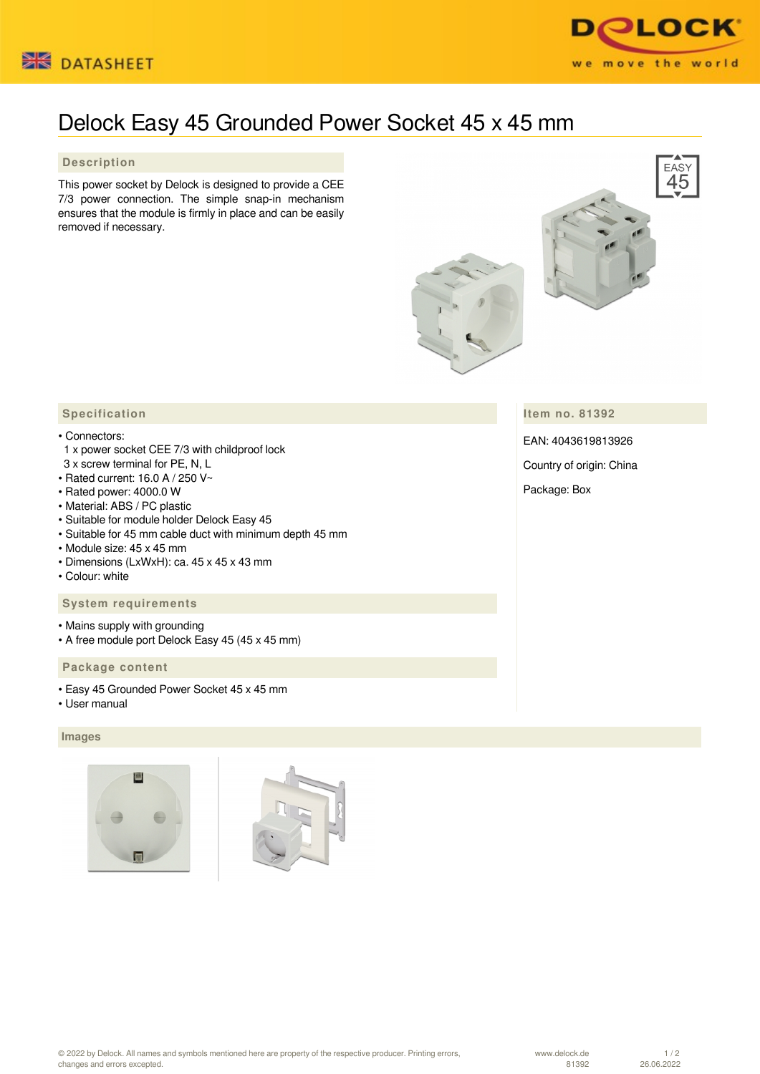



# Delock Easy 45 Grounded Power Socket 45 x 45 mm

### **Description**

This power socket by Delock is designed to provide a CEE 7/3 power connection. The simple snap-in mechanism ensures that the module is firmly in place and can be easily removed if necessary.



**Item no. 81392**

EAN: 4043619813926

Country of origin: China

Package: Box

## **Specification**

#### • Connectors:

- 1 x power socket CEE 7/3 with childproof lock
- 3 x screw terminal for PE, N, L
- Rated current: 16.0 A / 250 V~
- Rated power: 4000.0 W
- Material: ABS / PC plastic
- Suitable for module holder Delock Easy 45
- Suitable for 45 mm cable duct with minimum depth 45 mm
- Module size: 45 x 45 mm
- Dimensions (LxWxH): ca. 45 x 45 x 43 mm
- Colour: white

#### **System requirements**

- Mains supply with grounding
- A free module port Delock Easy 45 (45 x 45 mm)

#### **Package content**

- Easy 45 Grounded Power Socket 45 x 45 mm
- User manual

#### **Images**